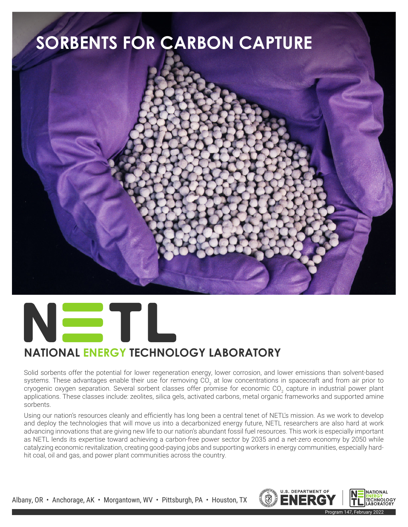



## **NATIONAL ENERGY TECHNOLOGY LABORATORY**

Solid sorbents offer the potential for lower regeneration energy, lower corrosion, and lower emissions than solvent-based systems. These advantages enable their use for removing CO<sub>2</sub> at low concentrations in spacecraft and from air prior to cryogenic oxygen separation. Several sorbent classes offer promise for economic CO<sub>2</sub> capture in industrial power plant applications. These classes include: zeolites, silica gels, activated carbons, metal organic frameworks and supported amine sorbents.

Using our nation's resources cleanly and efficiently has long been a central tenet of NETL's mission. As we work to develop and deploy the technologies that will move us into a decarbonized energy future, NETL researchers are also hard at work advancing innovations that are giving new life to our nation's abundant fossil fuel resources. This work is especially important as NETL lends its expertise toward achieving a carbon-free power sector by 2035 and a net-zero economy by 2050 while catalyzing economic revitalization, creating good-paying jobs and supporting workers in energy communities, especially hardhit coal, oil and gas, and power plant communities across the country.